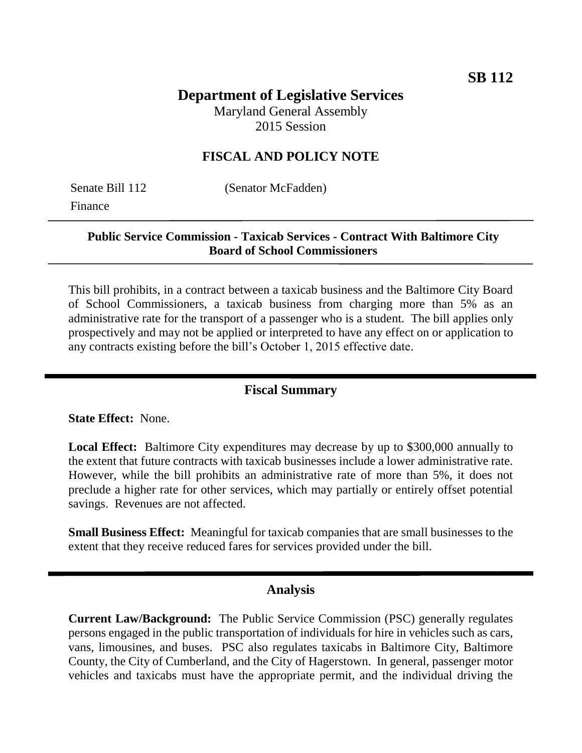### **Department of Legislative Services** Maryland General Assembly

2015 Session

## **FISCAL AND POLICY NOTE**

Finance

Senate Bill 112 (Senator McFadden)

### **Public Service Commission - Taxicab Services - Contract With Baltimore City Board of School Commissioners**

This bill prohibits, in a contract between a taxicab business and the Baltimore City Board of School Commissioners, a taxicab business from charging more than 5% as an administrative rate for the transport of a passenger who is a student. The bill applies only prospectively and may not be applied or interpreted to have any effect on or application to any contracts existing before the bill's October 1, 2015 effective date.

# **Fiscal Summary**

**State Effect:** None.

**Local Effect:** Baltimore City expenditures may decrease by up to \$300,000 annually to the extent that future contracts with taxicab businesses include a lower administrative rate. However, while the bill prohibits an administrative rate of more than 5%, it does not preclude a higher rate for other services, which may partially or entirely offset potential savings. Revenues are not affected.

**Small Business Effect:** Meaningful for taxicab companies that are small businesses to the extent that they receive reduced fares for services provided under the bill.

#### **Analysis**

**Current Law/Background:** The Public Service Commission (PSC) generally regulates persons engaged in the public transportation of individuals for hire in vehicles such as cars, vans, limousines, and buses. PSC also regulates taxicabs in Baltimore City, Baltimore County, the City of Cumberland, and the City of Hagerstown. In general, passenger motor vehicles and taxicabs must have the appropriate permit, and the individual driving the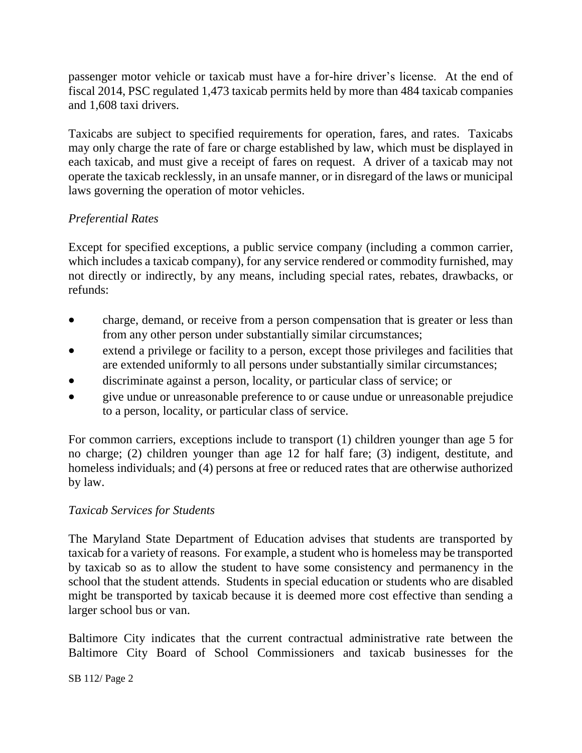passenger motor vehicle or taxicab must have a for-hire driver's license. At the end of fiscal 2014, PSC regulated 1,473 taxicab permits held by more than 484 taxicab companies and 1,608 taxi drivers.

Taxicabs are subject to specified requirements for operation, fares, and rates. Taxicabs may only charge the rate of fare or charge established by law, which must be displayed in each taxicab, and must give a receipt of fares on request. A driver of a taxicab may not operate the taxicab recklessly, in an unsafe manner, or in disregard of the laws or municipal laws governing the operation of motor vehicles.

## *Preferential Rates*

Except for specified exceptions, a public service company (including a common carrier, which includes a taxicab company), for any service rendered or commodity furnished, may not directly or indirectly, by any means, including special rates, rebates, drawbacks, or refunds:

- charge, demand, or receive from a person compensation that is greater or less than from any other person under substantially similar circumstances;
- extend a privilege or facility to a person, except those privileges and facilities that are extended uniformly to all persons under substantially similar circumstances;
- discriminate against a person, locality, or particular class of service; or
- give undue or unreasonable preference to or cause undue or unreasonable prejudice to a person, locality, or particular class of service.

For common carriers, exceptions include to transport (1) children younger than age 5 for no charge; (2) children younger than age 12 for half fare; (3) indigent, destitute, and homeless individuals; and (4) persons at free or reduced rates that are otherwise authorized by law.

## *Taxicab Services for Students*

The Maryland State Department of Education advises that students are transported by taxicab for a variety of reasons. For example, a student who is homeless may be transported by taxicab so as to allow the student to have some consistency and permanency in the school that the student attends. Students in special education or students who are disabled might be transported by taxicab because it is deemed more cost effective than sending a larger school bus or van.

Baltimore City indicates that the current contractual administrative rate between the Baltimore City Board of School Commissioners and taxicab businesses for the